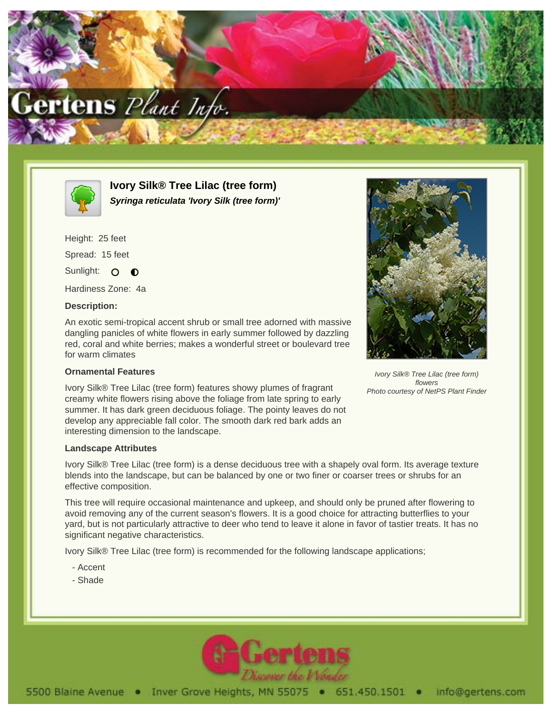



**Ivory Silk® Tree Lilac (tree form) Syringa reticulata 'Ivory Silk (tree form)'**

Height: 25 feet Spread: 15 feet Sunlight: O O

Hardiness Zone: 4a

## **Description:**

An exotic semi-tropical accent shrub or small tree adorned with massive dangling panicles of white flowers in early summer followed by dazzling red, coral and white berries; makes a wonderful street or boulevard tree for warm climates

## **Ornamental Features**

Ivory Silk® Tree Lilac (tree form) features showy plumes of fragrant creamy white flowers rising above the foliage from late spring to early summer. It has dark green deciduous foliage. The pointy leaves do not develop any appreciable fall color. The smooth dark red bark adds an interesting dimension to the landscape.

## **Landscape Attributes**

Ivory Silk® Tree Lilac (tree form) is a dense deciduous tree with a shapely oval form. Its average texture blends into the landscape, but can be balanced by one or two finer or coarser trees or shrubs for an effective composition.

This tree will require occasional maintenance and upkeep, and should only be pruned after flowering to avoid removing any of the current season's flowers. It is a good choice for attracting butterflies to your yard, but is not particularly attractive to deer who tend to leave it alone in favor of tastier treats. It has no significant negative characteristics.

Ivory Silk® Tree Lilac (tree form) is recommended for the following landscape applications;

- Accent
- Shade





Ivory Silk® Tree Lilac (tree form) flowers Photo courtesy of NetPS Plant Finder